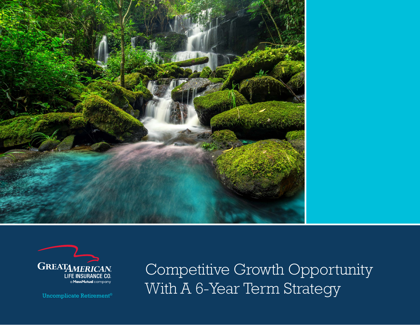



Competitive Growth Opportunity Uncomplicate Retirement® With A 6-Year Term Strategy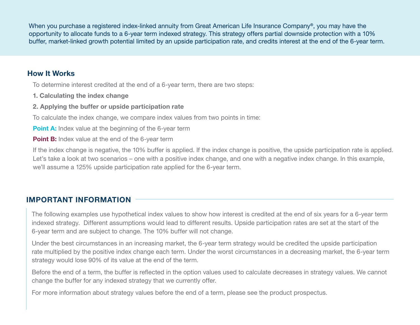When you purchase a registered index-linked annuity from Great American Life Insurance Company®, you may have the opportunity to allocate funds to a 6-year term indexed strategy. This strategy offers partial downside protection with a 10% buffer, market-linked growth potential limited by an upside participation rate, and credits interest at the end of the 6-year term.

## How It Works

To determine interest credited at the end of a 6-year term, there are two steps:

- 1. Calculating the index change
- 2. Applying the buffer or upside participation rate

To calculate the index change, we compare index values from two points in time:

**Point A:** Index value at the beginning of the 6-year term

**Point B:** Index value at the end of the 6-year term

If the index change is negative, the 10% buffer is applied. If the index change is positive, the upside participation rate is applied. Let's take a look at two scenarios – one with a positive index change, and one with a negative index change. In this example, we'll assume a 125% upside participation rate applied for the 6-year term.

## IMPORTANT INFORMATION

The following examples use hypothetical index values to show how interest is credited at the end of six years for a 6-year term indexed strategy. Different assumptions would lead to different results. Upside participation rates are set at the start of the 6-year term and are subject to change. The 10% buffer will not change.

Under the best circumstances in an increasing market, the 6-year term strategy would be credited the upside participation rate multiplied by the positive index change each term. Under the worst circumstances in a decreasing market, the 6-year term strategy would lose 90% of its value at the end of the term.

Before the end of a term, the buffer is reflected in the option values used to calculate decreases in strategy values. We cannot change the buffer for any indexed strategy that we currently offer.

For more information about strategy values before the end of a term, please see the product prospectus.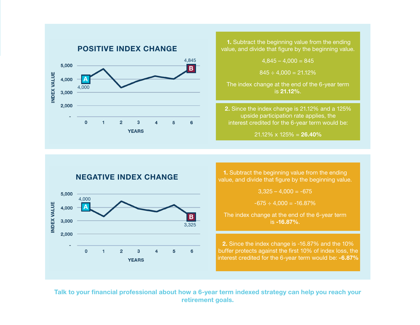

**1.** Subtract the beginning value from the ending value, and divide that figure by the beginning value.

 $4,845 - 4,000 = 845$ 

 $845 \div 4.000 = 21.12\%$ 

The index change at the end of the 6-year term is 21.12%.

2. Since the index change is 21.12% and a 125% upside participation rate applies, the interest credited for the 6-year term would be:

 $21.12\% \times 125\% = 26.40\%$ 





1. Subtract the beginning value from the ending value, and divide that figure by the beginning value.

 $3.325 - 4.000 = -675$ 

 $-675 \div 4,000 = -16.87\%$ 

The index change at the end of the 6-year term is -16.87%.

2. Since the index change is -16.87% and the 10% buffer protects against the first 10% of index loss, the interest credited for the 6-year term would be: -6.87%

Talk to your financial professional about how a 6-year term indexed strategy can help you reach your retirement goals.